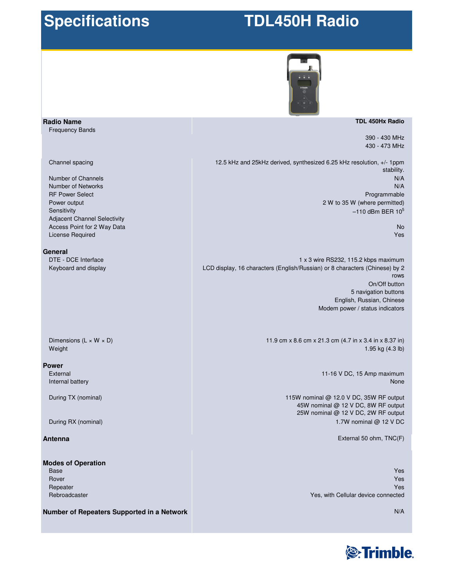## **Specifications**

# **TDL450H Radio**



### **TDL 450Hx Radio**

390 - 430 MHz 430 - 473 MHz

12.5 kHz and 25kHz derived, synthesized 6.25 kHz resolution, +/- 1ppm stability. N/A N/A Programmable 2 W to 35 W (where permitted)  $-110$  dBm BER  $10^5$ 

> No Yes

1 x 3 wire RS232, 115.2 kbps maximum LCD display, 16 characters (English/Russian) or 8 characters (Chinese) by 2 rows On/Off button 5 navigation buttons English, Russian, Chinese Modem power / status indicators

> 11.9 cm x 8.6 cm x 21.3 cm (4.7 in x 3.4 in x 8.37 in) 1.95 kg (4.3 lb)

> > 11-16 V DC, 15 Amp maximum None

115W nominal @ 12.0 V DC, 35W RF output 45W nominal @ 12 V DC, 8W RF output 25W nominal @ 12 V DC, 2W RF output 1.7W nominal @ 12 V DC

External 50 ohm, TNC(F)

Yes Yes Yes Yes, with Cellular device connected

**Number of Repeaters Supported in a Network**



N/A

**General** DTE - DCE Interface Keyboard and display

License Required

**Radio Name** Frequency Bands

Channel spacing

Number of Channels Number of Networks RF Power Select Power output **Sensitivity** 

Adjacent Channel Selectivity Access Point for 2 Way Data

Dimensions ( $L \times W \times D$ ) Weight

### **Power**

External Internal battery

During TX (nominal)

During RX (nominal)

## **Antenna**

## **Modes of Operation**

Base Rover Repeater Rebroadcaster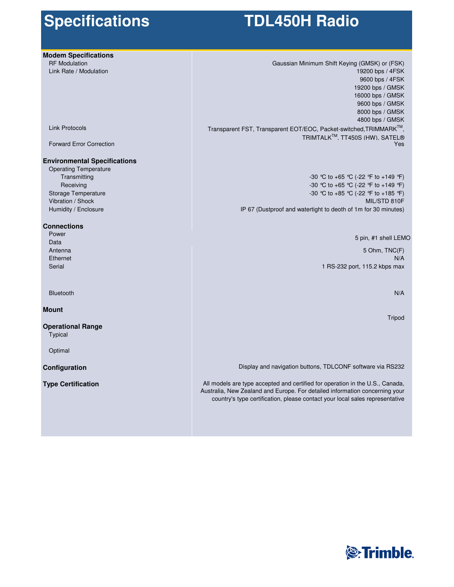# **Specifications**

# **TDL450H Radio**

| <b>Modem Specifications</b>         |                                                                               |
|-------------------------------------|-------------------------------------------------------------------------------|
| <b>RF Modulation</b>                | Gaussian Minimum Shift Keying (GMSK) or (FSK)                                 |
| Link Rate / Modulation              | 19200 bps / 4FSK                                                              |
|                                     | 9600 bps / 4FSK                                                               |
|                                     | 19200 bps / GMSK                                                              |
|                                     | 16000 bps / GMSK                                                              |
|                                     | 9600 bps / GMSK                                                               |
|                                     | 8000 bps / GMSK                                                               |
|                                     | 4800 bps / GMSK                                                               |
| <b>Link Protocols</b>               | Transparent FST, Transparent EOT/EOC, Packet-switched, TRIMMARK™,             |
|                                     | TRIMTALK™. TT450S (HW). SATEL®                                                |
| <b>Forward Error Correction</b>     | Yes                                                                           |
| <b>Environmental Specifications</b> |                                                                               |
| <b>Operating Temperature</b>        |                                                                               |
| Transmitting                        | -30 °C to +65 °C (-22 °F to +149 °F)                                          |
| Receiving                           | -30 °C to +65 °C (-22 °F to +149 °F)                                          |
| Storage Temperature                 | -30 ℃ to +85 ℃ (-22 °F to +185 °F)                                            |
| Vibration / Shock                   | MIL/STD 810F                                                                  |
| Humidity / Enclosure                | IP 67 (Dustproof and watertight to deoth of 1m for 30 minutes)                |
| <b>Connections</b>                  |                                                                               |
| Power                               | 5 pin, #1 shell LEMO                                                          |
| Data                                |                                                                               |
| Antenna                             | 5 Ohm, TNC(F)                                                                 |
| Ethernet                            | N/A                                                                           |
| Serial                              | 1 RS-232 port, 115.2 kbps max                                                 |
|                                     |                                                                               |
| <b>Bluetooth</b>                    | N/A                                                                           |
| <b>Mount</b>                        |                                                                               |
|                                     | Tripod                                                                        |
| <b>Operational Range</b><br>Typical |                                                                               |
| Optimal                             |                                                                               |
| Configuration                       | Display and navigation buttons, TDLCONF software via RS232                    |
| <b>Type Certification</b>           | All models are type accepted and certified for operation in the U.S., Canada, |
|                                     | Australia, New Zealand and Europe. For detailed information concerning your   |
|                                     | country's type certification, please contact your local sales representative  |